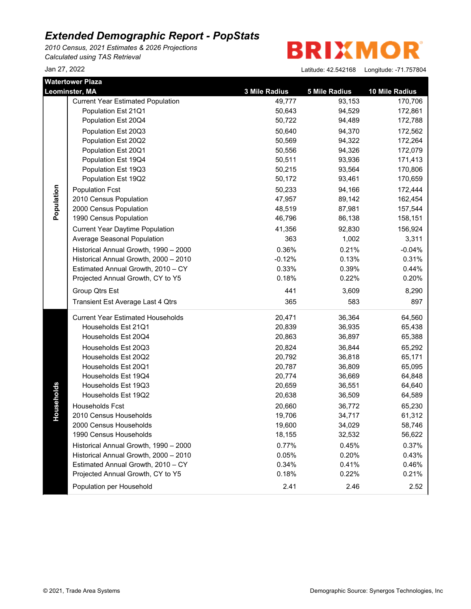*2010 Census, 2021 Estimates & 2026 Projections Calculated using TAS Retrieval*

**BRIXMOR** 

|            | Watertower Plaza                         |               |                      |                |
|------------|------------------------------------------|---------------|----------------------|----------------|
|            | Leominster, MA                           | 3 Mile Radius | <b>5 Mile Radius</b> | 10 Mile Radius |
|            | <b>Current Year Estimated Population</b> | 49,777        | 93,153               | 170,706        |
|            | Population Est 21Q1                      | 50,643        | 94,529               | 172,861        |
|            | Population Est 20Q4                      | 50,722        | 94,489               | 172,788        |
|            | Population Est 20Q3                      | 50,640        | 94,370               | 172,562        |
|            | Population Est 20Q2                      | 50,569        | 94,322               | 172,264        |
|            | Population Est 20Q1                      | 50,556        | 94,326               | 172,079        |
|            | Population Est 19Q4                      | 50,511        | 93,936               | 171,413        |
|            | Population Est 19Q3                      | 50,215        | 93,564               | 170,806        |
|            | Population Est 19Q2                      | 50,172        | 93,461               | 170,659        |
| Population | <b>Population Fcst</b>                   | 50,233        | 94,166               | 172,444        |
|            | 2010 Census Population                   | 47,957        | 89,142               | 162,454        |
|            | 2000 Census Population                   | 48,519        | 87,981               | 157,544        |
|            | 1990 Census Population                   | 46,796        | 86,138               | 158,151        |
|            | <b>Current Year Daytime Population</b>   | 41,356        | 92,830               | 156,924        |
|            | Average Seasonal Population              | 363           | 1,002                | 3,311          |
|            | Historical Annual Growth, 1990 - 2000    | 0.36%         | 0.21%                | $-0.04%$       |
|            | Historical Annual Growth, 2000 - 2010    | $-0.12%$      | 0.13%                | 0.31%          |
|            | Estimated Annual Growth, 2010 - CY       | 0.33%         | 0.39%                | 0.44%          |
|            | Projected Annual Growth, CY to Y5        | 0.18%         | 0.22%                | 0.20%          |
|            | Group Qtrs Est                           | 441           | 3,609                | 8,290          |
|            | Transient Est Average Last 4 Qtrs        | 365           | 583                  | 897            |
|            | <b>Current Year Estimated Households</b> | 20,471        | 36,364               | 64,560         |
|            | Households Est 21Q1                      | 20,839        | 36,935               | 65,438         |
|            | Households Est 20Q4                      | 20,863        | 36,897               | 65,388         |
|            | Households Est 20Q3                      | 20,824        | 36,844               | 65,292         |
|            | Households Est 20Q2                      | 20,792        | 36,818               | 65,171         |
|            | Households Est 20Q1                      | 20,787        | 36,809               | 65,095         |
|            | Households Est 19Q4                      | 20,774        | 36,669               | 64,848         |
|            | Households Est 19Q3                      | 20,659        | 36,551               | 64,640         |
| Households | Households Est 19Q2                      | 20,638        | 36,509               | 64,589         |
|            | Households Fcst                          | 20,660        | 36,772               | 65,230         |
|            | 2010 Census Households                   | 19,706        | 34,717               | 61,312         |
|            | 2000 Census Households                   | 19,600        | 34,029               | 58,746         |
|            | 1990 Census Households                   | 18,155        | 32,532               | 56,622         |
|            | Historical Annual Growth, 1990 - 2000    | 0.77%         | 0.45%                | 0.37%          |
|            | Historical Annual Growth, 2000 - 2010    | 0.05%         | 0.20%                | 0.43%          |
|            | Estimated Annual Growth, 2010 - CY       | 0.34%         | 0.41%                | 0.46%          |
|            | Projected Annual Growth, CY to Y5        | 0.18%         | 0.22%                | 0.21%          |
|            | Population per Household                 | 2.41          | 2.46                 | 2.52           |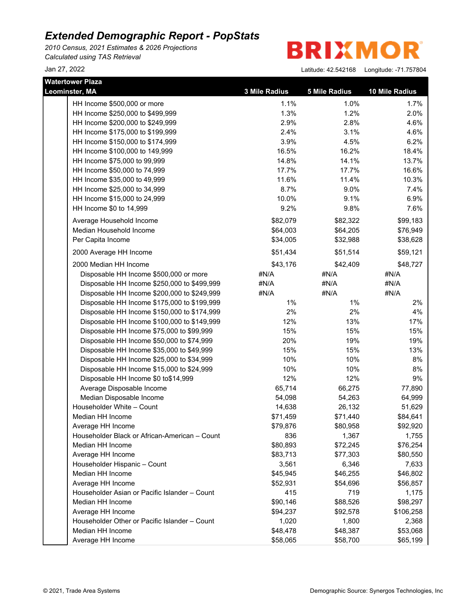*2010 Census, 2021 Estimates & 2026 Projections Calculated using TAS Retrieval*

**BRIXMO** R

| <b>Watertower Plaza</b>                       |               |               |                |
|-----------------------------------------------|---------------|---------------|----------------|
| Leominster, MA                                | 3 Mile Radius | 5 Mile Radius | 10 Mile Radius |
| HH Income \$500,000 or more                   | 1.1%          | 1.0%          | 1.7%           |
| HH Income \$250,000 to \$499,999              | 1.3%          | 1.2%          | 2.0%           |
| HH Income \$200,000 to \$249,999              | 2.9%          | 2.8%          | 4.6%           |
| HH Income \$175,000 to \$199,999              | 2.4%          | 3.1%          | 4.6%           |
| HH Income \$150,000 to \$174,999              | 3.9%          | 4.5%          | 6.2%           |
| HH Income \$100,000 to 149,999                | 16.5%         | 16.2%         | 18.4%          |
| HH Income \$75,000 to 99,999                  | 14.8%         | 14.1%         | 13.7%          |
| HH Income \$50,000 to 74,999                  | 17.7%         | 17.7%         | 16.6%          |
| HH Income \$35,000 to 49,999                  | 11.6%         | 11.4%         | 10.3%          |
| HH Income \$25,000 to 34,999                  | 8.7%          | 9.0%          | 7.4%           |
| HH Income \$15,000 to 24,999                  | 10.0%         | 9.1%          | 6.9%           |
| HH Income \$0 to 14,999                       | 9.2%          | 9.8%          | 7.6%           |
| Average Household Income                      | \$82,079      | \$82,322      | \$99,183       |
| Median Household Income                       | \$64,003      | \$64,205      | \$76,949       |
| Per Capita Income                             | \$34,005      | \$32,988      | \$38,628       |
| 2000 Average HH Income                        | \$51,434      | \$51,514      | \$59,121       |
| 2000 Median HH Income                         | \$43,176      | \$42,409      | \$48,727       |
| Disposable HH Income \$500,000 or more        | #N/A          | #N/A          | #N/A           |
| Disposable HH Income \$250,000 to \$499,999   | #N/A          | #N/A          | #N/A           |
| Disposable HH Income \$200,000 to \$249,999   | #N/A          | #N/A          | #N/A           |
| Disposable HH Income \$175,000 to \$199,999   | $1\%$         | $1\%$         | 2%             |
| Disposable HH Income \$150,000 to \$174,999   | 2%            | 2%            | 4%             |
| Disposable HH Income \$100,000 to \$149,999   | 12%           | 13%           | 17%            |
| Disposable HH Income \$75,000 to \$99,999     | 15%           | 15%           | 15%            |
| Disposable HH Income \$50,000 to \$74,999     | 20%           | 19%           | 19%            |
| Disposable HH Income \$35,000 to \$49,999     | 15%           | 15%           | 13%            |
| Disposable HH Income \$25,000 to \$34,999     | 10%           | 10%           | 8%             |
| Disposable HH Income \$15,000 to \$24,999     | 10%           | 10%           | 8%             |
| Disposable HH Income \$0 to\$14,999           | 12%           | 12%           | 9%             |
| Average Disposable Income                     | 65,714        | 66,275        | 77,890         |
| Median Disposable Income                      | 54,098        | 54,263        | 64,999         |
| Householder White - Count                     | 14,638        | 26,132        | 51,629         |
| Median HH Income                              | \$71,459      | \$71,440      | \$84,641       |
| Average HH Income                             | \$79,876      | \$80,958      | \$92,920       |
| Householder Black or African-American - Count | 836           | 1,367         | 1,755          |
| Median HH Income                              | \$80,893      | \$72,245      | \$76,254       |
| Average HH Income                             | \$83,713      | \$77,303      | \$80,550       |
| Householder Hispanic - Count                  | 3,561         | 6,346         | 7,633          |
| Median HH Income                              | \$45,945      | \$46,255      | \$46,802       |
| Average HH Income                             | \$52,931      | \$54,696      | \$56,857       |
| Householder Asian or Pacific Islander - Count | 415           | 719           | 1,175          |
| Median HH Income                              | \$90,146      | \$88,526      | \$98,297       |
| Average HH Income                             | \$94,237      | \$92,578      | \$106,258      |
| Householder Other or Pacific Islander - Count | 1,020         | 1,800         | 2,368          |
| Median HH Income                              | \$48,478      | \$48,387      | \$53,068       |
| Average HH Income                             | \$58,065      | \$58,700      | \$65,199       |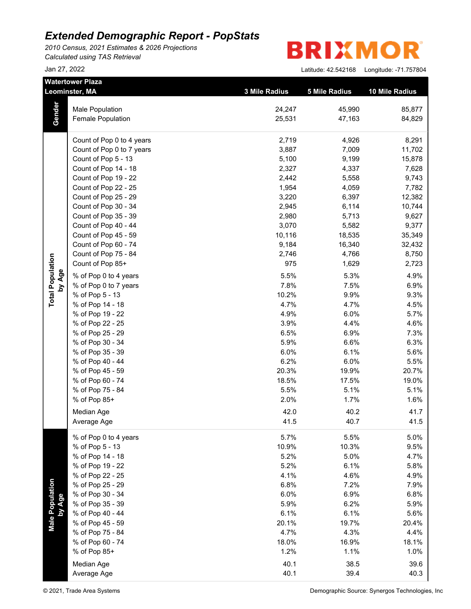*2010 Census, 2021 Estimates & 2026 Projections Calculated using TAS Retrieval*

**BRIXMO** R

|                           | <b>Watertower Plaza</b><br>Leominster, MA | 3 Mile Radius | <b>5 Mile Radius</b> | 10 Mile Radius |
|---------------------------|-------------------------------------------|---------------|----------------------|----------------|
|                           | Male Population                           | 24,247        | 45,990               | 85,877         |
| Gender                    | Female Population                         | 25,531        | 47,163               | 84,829         |
|                           |                                           |               |                      |                |
|                           | Count of Pop 0 to 4 years                 | 2,719         | 4,926                | 8,291          |
|                           | Count of Pop 0 to 7 years                 | 3,887         | 7,009                | 11,702         |
|                           | Count of Pop 5 - 13                       | 5,100         | 9,199                | 15,878         |
|                           | Count of Pop 14 - 18                      | 2,327         | 4,337                | 7,628          |
|                           | Count of Pop 19 - 22                      | 2,442         | 5,558                | 9,743          |
|                           | Count of Pop 22 - 25                      | 1,954         | 4,059                | 7,782          |
|                           | Count of Pop 25 - 29                      | 3,220         | 6,397                | 12,382         |
|                           | Count of Pop 30 - 34                      | 2,945         | 6,114                | 10,744         |
|                           | Count of Pop 35 - 39                      | 2,980         | 5,713                | 9,627          |
|                           | Count of Pop 40 - 44                      | 3,070         | 5,582                | 9,377          |
|                           | Count of Pop 45 - 59                      | 10,116        | 18,535               | 35,349         |
|                           | Count of Pop 60 - 74                      | 9,184         | 16,340               | 32,432         |
|                           | Count of Pop 75 - 84                      | 2,746         | 4,766                | 8,750          |
|                           | Count of Pop 85+                          | 975           | 1,629                | 2,723          |
| by Age                    | % of Pop 0 to 4 years                     | 5.5%          | 5.3%                 | 4.9%           |
|                           | % of Pop 0 to 7 years                     | 7.8%          | 7.5%                 | 6.9%           |
| <b>Total Population</b>   | % of Pop 5 - 13                           | 10.2%         | 9.9%                 | 9.3%           |
|                           | % of Pop 14 - 18                          | 4.7%          | 4.7%                 | 4.5%           |
|                           | % of Pop 19 - 22                          | 4.9%          | 6.0%                 | 5.7%           |
|                           | % of Pop 22 - 25                          | 3.9%          | 4.4%                 | 4.6%           |
|                           | % of Pop 25 - 29                          | 6.5%          | 6.9%                 | 7.3%           |
|                           | % of Pop 30 - 34                          | 5.9%          | 6.6%                 | 6.3%           |
|                           | % of Pop 35 - 39                          | 6.0%          | 6.1%                 | 5.6%           |
|                           | % of Pop 40 - 44                          | 6.2%          | 6.0%                 | 5.5%           |
|                           | % of Pop 45 - 59                          | 20.3%         | 19.9%                | 20.7%          |
|                           | % of Pop 60 - 74                          | 18.5%         | 17.5%                | 19.0%          |
|                           | % of Pop 75 - 84                          | 5.5%          | 5.1%                 | 5.1%           |
|                           | % of Pop 85+                              | 2.0%          | 1.7%                 | 1.6%           |
|                           | Median Age                                | 42.0          | 40.2                 | 41.7           |
|                           | Average Age                               | 41.5          | 40.7                 | 41.5           |
|                           | % of Pop 0 to 4 years                     | 5.7%          | 5.5%                 | 5.0%           |
|                           | % of Pop 5 - 13                           | 10.9%         | 10.3%                | 9.5%           |
|                           | % of Pop 14 - 18                          | 5.2%          | 5.0%                 | 4.7%           |
|                           | % of Pop 19 - 22                          | 5.2%          | 6.1%                 | 5.8%           |
|                           | % of Pop 22 - 25                          | 4.1%          | 4.6%                 | 4.9%           |
|                           | % of Pop 25 - 29                          | 6.8%          | 7.2%                 | 7.9%           |
| Male Population<br>by Age | % of Pop 30 - 34                          | 6.0%          | 6.9%                 | 6.8%           |
|                           | % of Pop 35 - 39                          | 5.9%          | 6.2%                 | 5.9%           |
|                           | % of Pop 40 - 44                          | 6.1%          | 6.1%                 | 5.6%           |
|                           | % of Pop 45 - 59                          | 20.1%         | 19.7%                | 20.4%          |
|                           | % of Pop 75 - 84                          | 4.7%          | 4.3%                 | 4.4%           |
|                           | % of Pop 60 - 74                          | 18.0%         | 16.9%                | 18.1%          |
|                           | % of Pop 85+                              | 1.2%          | 1.1%                 | 1.0%           |
|                           | Median Age                                | 40.1          | 38.5                 | 39.6           |
|                           | Average Age                               | 40.1          | 39.4                 | 40.3           |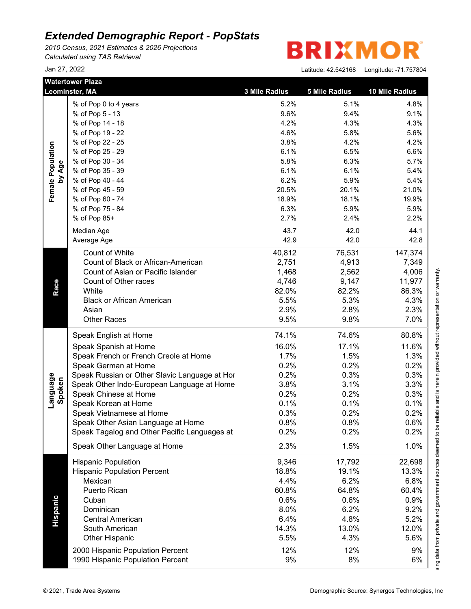*2010 Census, 2021 Estimates & 2026 Projections Calculated using TAS Retrieval*

R **BRIXMO** 

|                             | <b>Watertower Plaza</b><br>Leominster, MA     | 3 Mile Radius | <b>5 Mile Radius</b> | 10 Mile Radius |
|-----------------------------|-----------------------------------------------|---------------|----------------------|----------------|
|                             | % of Pop 0 to 4 years                         | 5.2%          | 5.1%                 | 4.8%           |
|                             | % of Pop 5 - 13                               | 9.6%          | 9.4%                 | 9.1%           |
|                             | % of Pop 14 - 18                              | 4.2%          | 4.3%                 | 4.3%           |
|                             | % of Pop 19 - 22                              | 4.6%          | 5.8%                 | 5.6%           |
|                             | % of Pop 22 - 25                              | 3.8%          | 4.2%                 | 4.2%           |
|                             | % of Pop 25 - 29                              | 6.1%          | 6.5%                 | 6.6%           |
|                             | % of Pop 30 - 34                              | 5.8%          | 6.3%                 | 5.7%           |
|                             | % of Pop 35 - 39                              | 6.1%          | 6.1%                 | 5.4%           |
| Female Population<br>by Age | % of Pop 40 - 44                              | 6.2%          | 5.9%                 | 5.4%           |
|                             | % of Pop 45 - 59                              | 20.5%         | 20.1%                | 21.0%          |
|                             | % of Pop 60 - 74                              | 18.9%         | 18.1%                | 19.9%          |
|                             | % of Pop 75 - 84                              | 6.3%          | 5.9%                 | 5.9%           |
|                             | % of Pop 85+                                  | 2.7%          | 2.4%                 | 2.2%           |
|                             |                                               |               |                      |                |
|                             | Median Age                                    | 43.7          | 42.0                 | 44.1           |
|                             | Average Age                                   | 42.9          | 42.0                 | 42.8           |
|                             | Count of White                                | 40,812        | 76,531               | 147,374        |
|                             | Count of Black or African-American            | 2,751         | 4,913                | 7,349          |
|                             | Count of Asian or Pacific Islander            | 1,468         | 2,562                | 4,006          |
|                             | Count of Other races                          | 4,746         | 9,147                | 11,977         |
|                             | White                                         | 82.0%         | 82.2%                | 86.3%          |
|                             | <b>Black or African American</b>              | 5.5%          | 5.3%                 | 4.3%           |
|                             | Asian                                         | 2.9%          | 2.8%                 | 2.3%           |
|                             | <b>Other Races</b>                            | 9.5%          | 9.8%                 | 7.0%           |
|                             | Speak English at Home                         | 74.1%         | 74.6%                | 80.8%          |
|                             | Speak Spanish at Home                         | 16.0%         | 17.1%                | 11.6%          |
|                             | Speak French or French Creole at Home         | 1.7%          | 1.5%                 | 1.3%           |
| Language<br>Spoken          | Speak German at Home                          | 0.2%          | 0.2%                 | 0.2%           |
|                             | Speak Russian or Other Slavic Language at Hor | 0.2%          | 0.3%                 | 0.3%           |
|                             | Speak Other Indo-European Language at Home    | 3.8%          | 3.1%                 | 3.3%           |
|                             |                                               |               |                      |                |
|                             | Speak Chinese at Home                         | 0.2%          | 0.2%                 | 0.3%           |
|                             | Speak Korean at Home                          | 0.1%          | 0.1%                 | 0.1%           |
|                             | Speak Vietnamese at Home                      | 0.3%          | 0.2%                 | 0.2%           |
|                             | Speak Other Asian Language at Home            | 0.8%          | 0.8%                 | 0.6%           |
|                             | Speak Tagalog and Other Pacific Languages at  | 0.2%          | 0.2%                 | 0.2%           |
|                             | Speak Other Language at Home                  | 2.3%          | 1.5%                 | 1.0%           |
|                             | <b>Hispanic Population</b>                    | 9,346         | 17,792               | 22,698         |
|                             | <b>Hispanic Population Percent</b>            | 18.8%         | 19.1%                | 13.3%          |
|                             | Mexican                                       | 4.4%          | 6.2%                 | 6.8%           |
|                             | Puerto Rican                                  | 60.8%         | 64.8%                | 60.4%          |
|                             | Cuban                                         | 0.6%          | 0.6%                 | 0.9%           |
|                             | Dominican                                     | 8.0%          | 6.2%                 | 9.2%           |
|                             | <b>Central American</b>                       | 6.4%          | 4.8%                 | 5.2%           |
|                             | South American                                | 14.3%         | 13.0%                | 12.0%          |
|                             | <b>Other Hispanic</b>                         | 5.5%          | 4.3%                 | 5.6%           |
|                             |                                               |               |                      |                |
|                             | 2000 Hispanic Population Percent              | 12%           | 12%                  | 9%             |
|                             | 1990 Hispanic Population Percent              | 9%            | 8%                   | 6%             |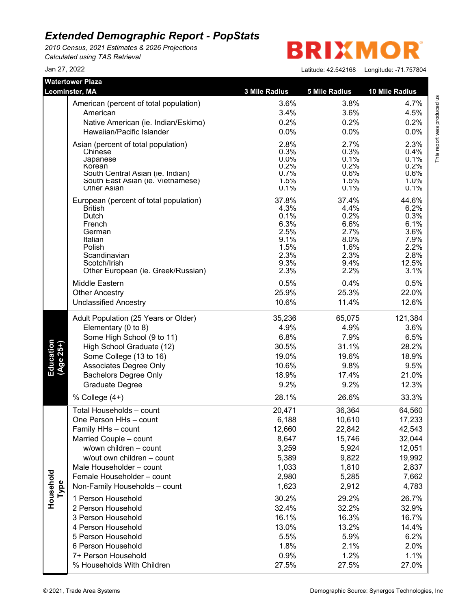*2010 Census, 2021 Estimates & 2026 Projections Calculated using TAS Retrieval*

**BRIXMO** R

|                        | <b>Watertower Plaza</b>                                 |                 |                      |                |
|------------------------|---------------------------------------------------------|-----------------|----------------------|----------------|
|                        | Leominster, MA                                          | 3 Mile Radius   | <b>5 Mile Radius</b> | 10 Mile Radius |
|                        | American (percent of total population)                  | 3.6%            | 3.8%                 | 4.7%           |
|                        | American                                                | 3.4%            | 3.6%                 | 4.5%           |
|                        | Native American (ie. Indian/Eskimo)                     | 0.2%            | 0.2%                 | 0.2%           |
|                        | Hawaiian/Pacific Islander                               | 0.0%            | 0.0%                 | 0.0%           |
|                        | Asian (percent of total population)                     | 2.8%            | 2.7%                 | 2.3%           |
|                        | Chinese                                                 | 0.3%            | 0.3%                 | 0.4%           |
|                        | Japanese<br>Korean                                      | $0.0\%$<br>0.2% | 0.1%<br>0.2%         | 0.1%<br>0.2%   |
|                        | South Central Asian (ie. Indian)                        | 0.7%            | 0.6%                 | 0.6%           |
|                        | South East Asian (ie. Vietnamese)<br><b>Other Asian</b> | 1.5%<br>0.1%    | 1.5%<br>0.1%         | 1.0%<br>0.1%   |
|                        |                                                         |                 |                      |                |
|                        | European (percent of total population)                  | 37.8%<br>4.3%   | 37.4%                | 44.6%<br>6.2%  |
|                        | <b>British</b><br>Dutch                                 | 0.1%            | 4.4%<br>0.2%         | 0.3%           |
|                        | French                                                  | 6.3%            | 6.6%                 | 6.1%           |
|                        | German                                                  | 2.5%            | 2.7%                 | 3.6%           |
|                        | Italian                                                 | 9.1%            | 8.0%                 | 7.9%           |
|                        | Polish<br>Scandinavian                                  | 1.5%<br>2.3%    | 1.6%<br>2.3%         | 2.2%<br>2.8%   |
|                        | Scotch/Irish                                            | 9.3%            | $9.4\%$              | 12.5%          |
|                        | Other European (ie. Greek/Russian)                      | 2.3%            | 2.2%                 | 3.1%           |
|                        | Middle Eastern                                          | 0.5%            | 0.4%                 | 0.5%           |
|                        | <b>Other Ancestry</b>                                   | 25.9%           | 25.3%                | 22.0%          |
|                        | <b>Unclassified Ancestry</b>                            | 10.6%           | 11.4%                | 12.6%          |
|                        | Adult Population (25 Years or Older)                    | 35,236          | 65,075               | 121,384        |
|                        | Elementary (0 to 8)                                     | 4.9%            | 4.9%                 | 3.6%           |
|                        | Some High School (9 to 11)                              | 6.8%            | 7.9%                 | 6.5%           |
| Education<br>(Age 25+) | High School Graduate (12)                               | 30.5%           | 31.1%                | 28.2%          |
|                        | Some College (13 to 16)                                 | 19.0%           | 19.6%                | 18.9%          |
|                        | Associates Degree Only                                  | 10.6%           | 9.8%                 | 9.5%           |
|                        | <b>Bachelors Degree Only</b>                            | 18.9%           | 17.4%                | 21.0%          |
|                        | <b>Graduate Degree</b>                                  | 9.2%            | 9.2%                 | 12.3%          |
|                        | % College (4+)                                          | 28.1%           | 26.6%                | 33.3%          |
|                        | Total Households - count                                | 20,471          | 36,364               | 64,560         |
|                        | One Person HHs - count                                  | 6,188           | 10,610               | 17,233         |
|                        | Family HHs - count                                      | 12,660          | 22,842               | 42,543         |
|                        | Married Couple - count                                  | 8,647           | 15,746               | 32,044         |
|                        | w/own children - count<br>w/out own children - count    | 3,259           | 5,924                | 12,051         |
|                        |                                                         | 5,389           | 9,822                | 19,992         |
|                        | Male Householder - count<br>Female Householder - count  | 1,033           | 1,810                | 2,837          |
|                        | Non-Family Households - count                           | 2,980           | 5,285                | 7,662          |
| Household<br>Type      |                                                         | 1,623           | 2,912                | 4,783          |
|                        | 1 Person Household                                      | 30.2%           | 29.2%                | 26.7%          |
|                        | 2 Person Household                                      | 32.4%           | 32.2%                | 32.9%          |
|                        | 3 Person Household                                      | 16.1%           | 16.3%                | 16.7%          |
|                        | 4 Person Household                                      | 13.0%           | 13.2%                | 14.4%          |
|                        | 5 Person Household                                      | 5.5%            | 5.9%                 | 6.2%           |
|                        | 6 Person Household                                      | 1.8%            | 2.1%                 | 2.0%           |
|                        | 7+ Person Household                                     | 0.9%            | 1.2%                 | 1.1%           |
|                        | % Households With Children                              | 27.5%           | 27.5%                | 27.0%          |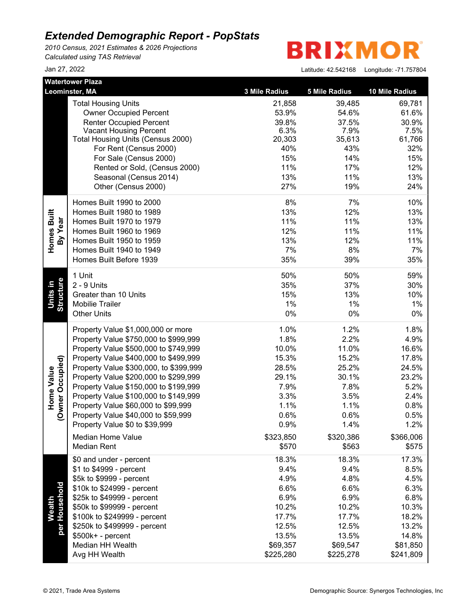*2010 Census, 2021 Estimates & 2026 Projections Calculated using TAS Retrieval*

**BRIXMO** R

|                                       | <b>Watertower Plaza</b>                          |               |                      |                |  |
|---------------------------------------|--------------------------------------------------|---------------|----------------------|----------------|--|
|                                       | Leominster, MA                                   | 3 Mile Radius | <b>5 Mile Radius</b> | 10 Mile Radius |  |
|                                       | <b>Total Housing Units</b>                       | 21,858        | 39,485               | 69,781         |  |
|                                       | <b>Owner Occupied Percent</b>                    | 53.9%         | 54.6%                | 61.6%          |  |
|                                       | <b>Renter Occupied Percent</b>                   | 39.8%         | 37.5%                | 30.9%          |  |
|                                       | <b>Vacant Housing Percent</b>                    | 6.3%          | 7.9%                 | 7.5%           |  |
|                                       | Total Housing Units (Census 2000)                | 20,303<br>40% | 35,613<br>43%        | 61,766         |  |
|                                       | For Rent (Census 2000)<br>For Sale (Census 2000) | 15%           | 14%                  | 32%<br>15%     |  |
|                                       | Rented or Sold, (Census 2000)                    | 11%           | 17%                  | 12%            |  |
|                                       | Seasonal (Census 2014)                           | 13%           | 11%                  | 13%            |  |
|                                       | Other (Census 2000)                              | 27%           | 19%                  | 24%            |  |
|                                       |                                                  |               |                      |                |  |
|                                       | Homes Built 1990 to 2000                         | 8%            | 7%                   | 10%            |  |
| Homes Built                           | Homes Built 1980 to 1989                         | 13%           | 12%                  | 13%            |  |
|                                       | Homes Built 1970 to 1979                         | 11%           | 11%                  | 13%            |  |
| By Year                               | Homes Built 1960 to 1969                         | 12%           | 11%                  | 11%            |  |
|                                       | Homes Built 1950 to 1959                         | 13%           | 12%                  | 11%            |  |
|                                       | Homes Built 1940 to 1949                         | 7%            | 8%                   | 7%             |  |
|                                       | Homes Built Before 1939                          | 35%           | 39%                  | 35%            |  |
|                                       | 1 Unit                                           | 50%           | 50%                  | 59%            |  |
|                                       | 2 - 9 Units                                      | 35%           | 37%                  | 30%            |  |
| Units in                              | Greater than 10 Units                            | 15%           | 13%                  | 10%            |  |
| Structure                             | <b>Mobilie Trailer</b>                           | 1%            | 1%                   | 1%             |  |
|                                       | <b>Other Units</b>                               | 0%            | $0\%$                | 0%             |  |
|                                       | Property Value \$1,000,000 or more               | 1.0%          | 1.2%                 | 1.8%           |  |
|                                       | Property Value \$750,000 to \$999,999            | 1.8%          | 2.2%                 | 4.9%           |  |
|                                       | Property Value \$500,000 to \$749,999            | 10.0%         | 11.0%                | 16.6%          |  |
|                                       | Property Value \$400,000 to \$499,999            | 15.3%         | 15.2%                | 17.8%          |  |
|                                       | Property Value \$300,000, to \$399,999           | 28.5%         | 25.2%                | 24.5%          |  |
|                                       | Property Value \$200,000 to \$299,999            | 29.1%         | 30.1%                | 23.2%          |  |
| (Owner Occupied)<br><b>Home Value</b> | Property Value \$150,000 to \$199,999            | 7.9%          | 7.8%                 | 5.2%           |  |
|                                       | Property Value \$100,000 to \$149,999            | 3.3%          | 3.5%                 | 2.4%           |  |
|                                       | Property Value \$60,000 to \$99,999              | 1.1%          | 1.1%                 | 0.8%           |  |
|                                       | Property Value \$40,000 to \$59,999              | 0.6%          | 0.6%                 | 0.5%           |  |
|                                       | Property Value \$0 to \$39,999                   | 0.9%          | 1.4%                 | 1.2%           |  |
|                                       | Median Home Value                                | \$323,850     | \$320,386            | \$366,006      |  |
|                                       | <b>Median Rent</b>                               | \$570         | \$563                | \$575          |  |
|                                       | \$0 and under - percent                          | 18.3%         | 18.3%                | 17.3%          |  |
|                                       | \$1 to \$4999 - percent                          | 9.4%          | 9.4%                 | 8.5%           |  |
|                                       | \$5k to \$9999 - percent                         | 4.9%          | 4.8%                 | 4.5%           |  |
|                                       | \$10k to \$24999 - percent                       | 6.6%          | 6.6%                 | 6.3%           |  |
| per Household                         | \$25k to \$49999 - percent                       | 6.9%          | 6.9%                 | 6.8%           |  |
| <b>Wealth</b>                         | \$50k to \$99999 - percent                       | 10.2%         | 10.2%                | 10.3%          |  |
|                                       | \$100k to \$249999 - percent                     | 17.7%         | 17.7%                | 18.2%          |  |
|                                       | \$250k to \$499999 - percent                     | 12.5%         | 12.5%                | 13.2%          |  |
|                                       | \$500k+ - percent                                | 13.5%         | 13.5%                | 14.8%          |  |
|                                       | Median HH Wealth                                 | \$69,357      | \$69,547             | \$81,850       |  |
|                                       | Avg HH Wealth                                    | \$225,280     | \$225,278            | \$241,809      |  |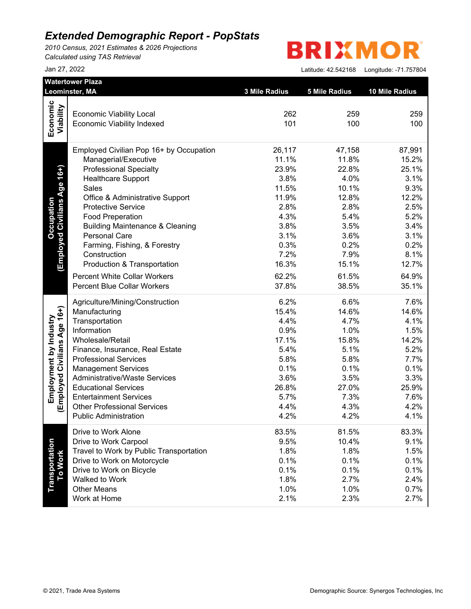*2010 Census, 2021 Estimates & 2026 Projections Calculated using TAS Retrieval*

**BRIXMO** R

|                                   | Leominster, MA                                                       | 3 Mile Radius | <b>5 Mile Radius</b> | 10 Mile Radius |
|-----------------------------------|----------------------------------------------------------------------|---------------|----------------------|----------------|
| Economic                          |                                                                      |               |                      |                |
| Viability                         | <b>Economic Viability Local</b><br><b>Economic Viability Indexed</b> | 262<br>101    | 259<br>100           | 259<br>100     |
|                                   | Employed Civilian Pop 16+ by Occupation                              | 26,117        | 47,158               | 87,991         |
|                                   | Managerial/Executive                                                 | 11.1%         | 11.8%                | 15.2%          |
| (Employed Civilians Age 16+)      | <b>Professional Specialty</b>                                        | 23.9%         | 22.8%                | 25.1%          |
|                                   | <b>Healthcare Support</b>                                            | 3.8%          | 4.0%                 | 3.1%           |
|                                   | Sales                                                                | 11.5%         | 10.1%                | 9.3%           |
|                                   | Office & Administrative Support                                      | 11.9%         | 12.8%                | 12.2%          |
|                                   | <b>Protective Service</b>                                            | 2.8%          | 2.8%                 | 2.5%           |
|                                   | <b>Food Preperation</b>                                              | 4.3%          | 5.4%                 | 5.2%           |
|                                   | <b>Building Maintenance &amp; Cleaning</b>                           | 3.8%          | 3.5%                 | 3.4%           |
|                                   | <b>Personal Care</b>                                                 | 3.1%          | 3.6%                 | 3.1%           |
|                                   | Farming, Fishing, & Forestry                                         | 0.3%          | 0.2%                 | 0.2%           |
|                                   | Construction                                                         | 7.2%          | 7.9%                 | 8.1%           |
|                                   | Production & Transportation                                          | 16.3%         | 15.1%                | 12.7%          |
|                                   | <b>Percent White Collar Workers</b>                                  | 62.2%         | 61.5%                | 64.9%          |
|                                   | <b>Percent Blue Collar Workers</b>                                   | 37.8%         | 38.5%                | 35.1%          |
|                                   | Agriculture/Mining/Construction                                      | 6.2%          | 6.6%                 | 7.6%           |
| (Employed Civilians Age 16+)      | Manufacturing                                                        | 15.4%         | 14.6%                | 14.6%          |
|                                   | Transportation                                                       | 4.4%          | 4.7%                 | 4.1%           |
|                                   | Information                                                          | 0.9%          | 1.0%                 | 1.5%           |
|                                   | Wholesale/Retail                                                     | 17.1%         | 15.8%                | 14.2%          |
|                                   | Finance, Insurance, Real Estate                                      | 5.4%          | 5.1%                 | 5.2%           |
|                                   | <b>Professional Services</b>                                         | 5.8%          | 5.8%                 | 7.7%           |
|                                   | <b>Management Services</b>                                           | 0.1%          | 0.1%                 | 0.1%           |
|                                   | <b>Administrative/Waste Services</b>                                 | 3.6%          | 3.5%                 | 3.3%           |
|                                   | <b>Educational Services</b>                                          | 26.8%         | 27.0%                | 25.9%          |
|                                   | <b>Entertainment Services</b>                                        | 5.7%          | 7.3%                 | 7.6%           |
|                                   | <b>Other Professional Services</b>                                   | 4.4%          | 4.3%                 | 4.2%           |
|                                   | <b>Public Administration</b>                                         | 4.2%          | 4.2%                 | 4.1%           |
|                                   | Drive to Work Alone                                                  | 83.5%         | 81.5%                | 83.3%          |
| <b>Transportation<br/>To Work</b> | Drive to Work Carpool                                                | 9.5%          | 10.4%                | 9.1%           |
|                                   | Travel to Work by Public Transportation                              | 1.8%          | 1.8%                 | 1.5%           |
|                                   | Drive to Work on Motorcycle                                          | 0.1%          | 0.1%                 | 0.1%           |
|                                   | Drive to Work on Bicycle                                             | 0.1%          | 0.1%                 | 0.1%           |
|                                   | Walked to Work                                                       | 1.8%          | 2.7%                 | 2.4%           |
|                                   | <b>Other Means</b>                                                   | 1.0%          | 1.0%                 | 0.7%           |
|                                   | Work at Home                                                         | 2.1%          | 2.3%                 | 2.7%           |